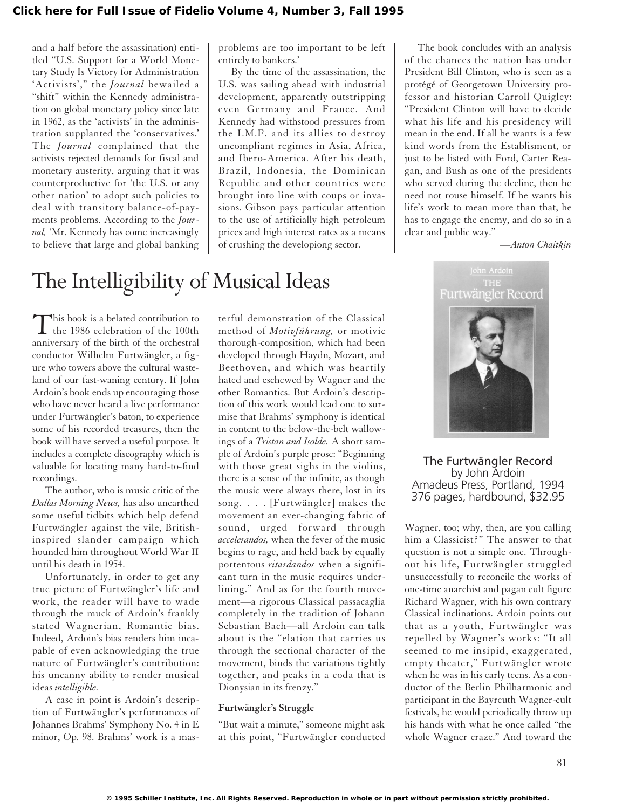and a half before the assassination) entitled "U.S. Support for a World Monetary Study Is Victory for Administration 'Activists'," the *Journal* bewailed a "shift" within the Kennedy administration on global monetary policy since late in 1962, as the 'activists' in the administration supplanted the 'conservatives.' The *Journal* complained that the activists rejected demands for fiscal and monetary austerity, arguing that it was counterproductive for 'the U.S. or any other nation' to adopt such policies to deal with transitory balance-of-payments problems. According to the *Journal,* 'Mr. Kennedy has come increasingly to believe that large and global banking

problems are too important to be left entirely to bankers.'

By the time of the assassination, the U.S. was sailing ahead with industrial development, apparently outstripping even Germany and France. And Kennedy had withstood pressures from the I.M.F. and its allies to destroy uncompliant regimes in Asia, Africa, and Ibero-America. After his death, Brazil, Indonesia, the Dominican Republic and other countries were brought into line with coups or invasions. Gibson pays particular attention to the use of artificially high petroleum prices and high interest rates as a means of crushing the developiong sector.

The book concludes with an analysis of the chances the nation has under President Bill Clinton, who is seen as a protégé of Georgetown University professor and historian Carroll Quigley: "President Clinton will have to decide what his life and his presidency will mean in the end. If all he wants is a few kind words from the Establisment, or just to be listed with Ford, Carter Reagan, and Bush as one of the presidents who served during the decline, then he need not rouse himself. If he wants his life's work to mean more than that, he has to engage the enemy, and do so in a clear and public way."

*—Anton Chaitkin*

## The Intelligibility of Musical Ideas

This book is a belated contribution to<br>the 1986 celebration of the 100th anniversary of the birth of the orchestral conductor Wilhelm Furtwängler, a figure who towers above the cultural wasteland of our fast-waning century. If John Ardoin's book ends up encouraging those who have never heard a live performance under Furtwängler's baton, to experience some of his recorded treasures, then the book will have served a useful purpose. It includes a complete discography which is valuable for locating many hard-to-find recordings.

The author, who is music critic of the *Dallas Morning News,* has also unearthed some useful tidbits which help defend Furtwängler against the vile, Britishinspired slander campaign which hounded him throughout World War II until his death in 1954.

Unfortunately, in order to get any true picture of Furtwängler's life and work, the reader will have to wade through the muck of Ardoin's frankly stated Wagnerian, Romantic bias. Indeed, Ardoin's bias renders him incapable of even acknowledging the true nature of Furtwängler's contribution: his uncanny ability to render musical ideas *intelligible.*

A case in point is Ardoin's description of Furtwängler's performances of Johannes Brahms' Symphony No. 4 in E minor, Op. 98. Brahms' work is a mas-

terful demonstration of the Classical method of *Motivführung,* or motivic thorough-composition, which had been developed through Haydn, Mozart, and Beethoven, and which was heartily hated and eschewed by Wagner and the other Romantics. But Ardoin's description of this work would lead one to surmise that Brahms' symphony is identical in content to the below-the-belt wallowings of a *Tristan and Isolde.* A short sample of Ardoin's purple prose: "Beginning with those great sighs in the violins, there is a sense of the infinite, as though the music were always there, lost in its song. . . . [Furtwängler] makes the movement an ever-changing fabric of sound, urged forward through *accelerandos,* when the fever of the music begins to rage, and held back by equally portentous *ritardandos* when a significant turn in the music requires underlining." And as for the fourth movement—a rigorous Classical passacaglia completely in the tradition of Johann Sebastian Bach—all Ardoin can talk about is the "elation that carries us through the sectional character of the movement, binds the variations tightly together, and peaks in a coda that is Dionysian in its frenzy."

## **Furtwängler's Struggle**

"But wait a minute," someone might ask at this point, "Furtwängler conducted



The Furtwängler Record by John Ardoin Amadeus Press, Portland, 1994 376 pages, hardbound, \$32.95

Wagner, too; why, then, are you calling him a Classicist?" The answer to that question is not a simple one. Throughout his life, Furtwängler struggled unsuccessfully to reconcile the works of one-time anarchist and pagan cult figure Richard Wagner, with his own contrary Classical inclinations. Ardoin points out that as a youth, Furtwängler was repelled by Wagner's works: "It all seemed to me insipid, exaggerated, empty theater," Furtwängler wrote when he was in his early teens. As a conductor of the Berlin Philharmonic and participant in the Bayreuth Wagner-cult festivals, he would periodically throw up his hands with what he once called "the whole Wagner craze." And toward the